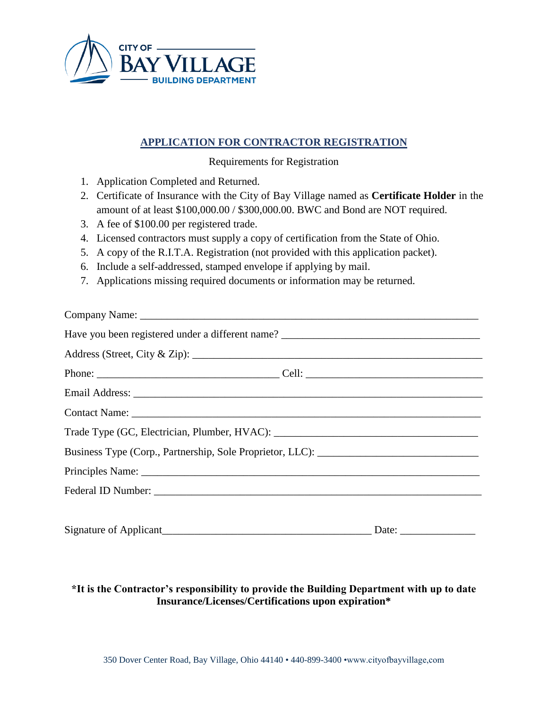

## **APPLICATION FOR CONTRACTOR REGISTRATION**

Requirements for Registration

- 1. Application Completed and Returned.
- 2. Certificate of Insurance with the City of Bay Village named as **Certificate Holder** in the amount of at least \$100,000.00 / \$300,000.00. BWC and Bond are NOT required.
- 3. A fee of \$100.00 per registered trade.
- 4. Licensed contractors must supply a copy of certification from the State of Ohio.
- 5. A copy of the R.I.T.A. Registration (not provided with this application packet).
- 6. Include a self-addressed, stamped envelope if applying by mail.
- 7. Applications missing required documents or information may be returned.

| Business Type (Corp., Partnership, Sole Proprietor, LLC): _______________________ |  |  |
|-----------------------------------------------------------------------------------|--|--|
|                                                                                   |  |  |
|                                                                                   |  |  |
|                                                                                   |  |  |
|                                                                                   |  |  |

## **\*It is the Contractor's responsibility to provide the Building Department with up to date Insurance/Licenses/Certifications upon expiration\***

350 Dover Center Road, Bay Village, Ohio 44140 • 440-899-3400 •www.cityofbayvillage,com